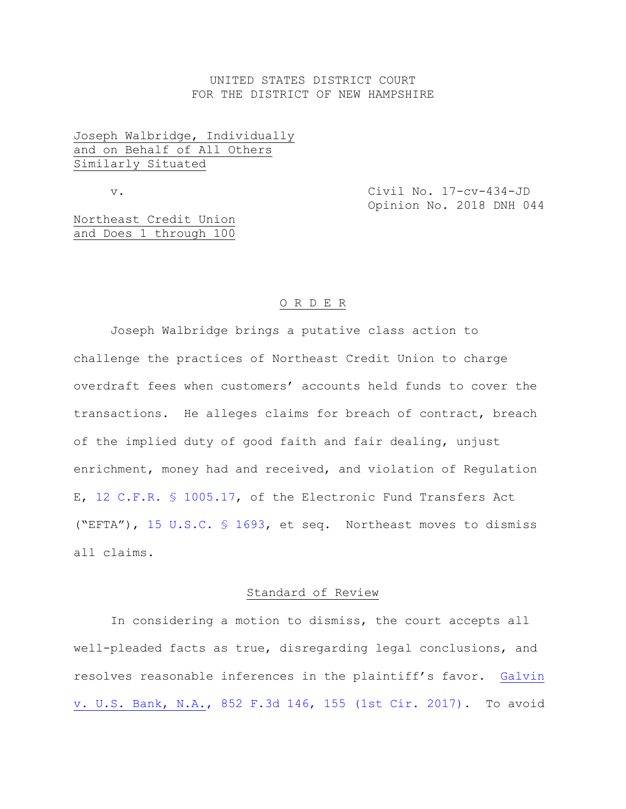## UNITED STATES DISTRICT COURT FOR THE DISTRICT OF NEW HAMPSHIRE

# Joseph Walbridge, Individually and on Behalf of All Others Similarly Situated

v. Civil No. 17-cv-434-JD Opinion No. 2018 DNH 044

Northeast Credit Union and Does 1 through 100

# O R D E R

Joseph Walbridge brings a putative class action to challenge the practices of Northeast Credit Union to charge overdraft fees when customers' accounts held funds to cover the transactions. He alleges claims for breach of contract, breach of the implied duty of good faith and fair dealing, unjust enrichment, money had and received, and violation of Regulation E, [12 C.F.R. § 1005.17,](https://www.westlaw.com/Document/N7FD4A3E0450211E3AF52E5FDAE78207E/View/FullText.html?transitionType=Default&contextData=(sc.Default)&VR=3.0&RS=da3.0) of the Electronic Fund Transfers Act ("EFTA"), [15 U.S.C. § 1693,](https://www.westlaw.com/Document/N8711FD80D23F11DFAF9CDA442C7387A1/View/FullText.html?transitionType=Default&contextData=(sc.Default)&VR=3.0&RS=da3.0) et seq. Northeast moves to dismiss all claims.

### Standard of Review

In considering a motion to dismiss, the court accepts all well-pleaded facts as true, disregarding legal conclusions, and resolves reasonable inferences in the plaintiff's favor. [Galvin](https://www.westlaw.com/Document/If3fc7790152211e79de0d9b9354e8e59/View/FullText.html?transitionType=Default&contextData=(sc.Default)&VR=3.0&RS=da3.0&fragmentIdentifier=co_pp_sp_506_155)  [v. U.S. Bank, N.A., 852 F.3d 146, 155 \(1st Cir. 2017\).](https://www.westlaw.com/Document/If3fc7790152211e79de0d9b9354e8e59/View/FullText.html?transitionType=Default&contextData=(sc.Default)&VR=3.0&RS=da3.0&fragmentIdentifier=co_pp_sp_506_155) To avoid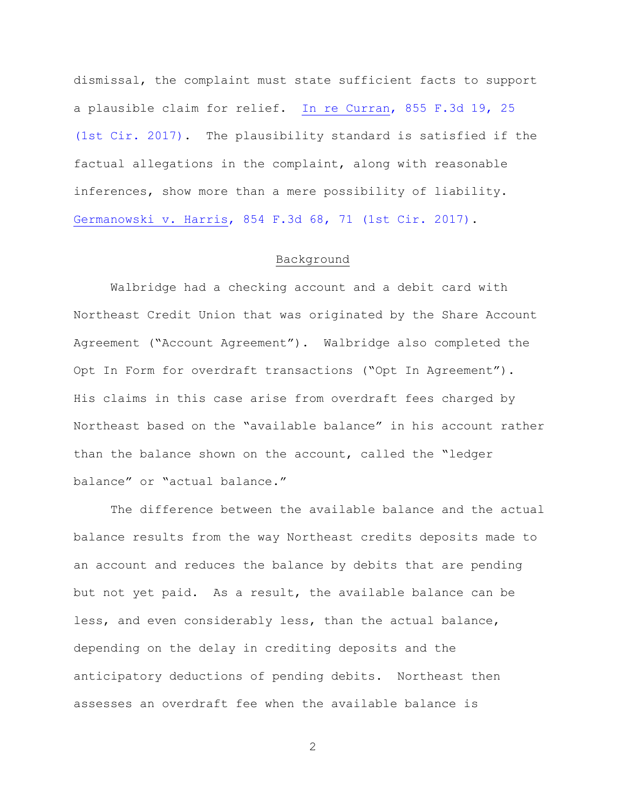dismissal, the complaint must state sufficient facts to support a plausible claim for relief. [In re Curran, 855 F.3d 19, 25](https://www.westlaw.com/Document/I768b9d80262b11e7bc7a881983352365/View/FullText.html?transitionType=Default&contextData=(sc.Default)&VR=3.0&RS=da3.0&fragmentIdentifier=co_pp_sp_506_25)  [\(1st Cir. 2017\).](https://www.westlaw.com/Document/I768b9d80262b11e7bc7a881983352365/View/FullText.html?transitionType=Default&contextData=(sc.Default)&VR=3.0&RS=da3.0&fragmentIdentifier=co_pp_sp_506_25) The plausibility standard is satisfied if the factual allegations in the complaint, along with reasonable inferences, show more than a mere possibility of liability. [Germanowski v. Harris, 854 F.3d 68, 71 \(1st Cir. 2017\).](https://www.westlaw.com/Document/I65321320208111e79de0d9b9354e8e59/View/FullText.html?transitionType=Default&contextData=(sc.Default)&VR=3.0&RS=da3.0&fragmentIdentifier=co_pp_sp_506_71)

### Background

Walbridge had a checking account and a debit card with Northeast Credit Union that was originated by the Share Account Agreement ("Account Agreement"). Walbridge also completed the Opt In Form for overdraft transactions ("Opt In Agreement"). His claims in this case arise from overdraft fees charged by Northeast based on the "available balance" in his account rather than the balance shown on the account, called the "ledger balance" or "actual balance."

The difference between the available balance and the actual balance results from the way Northeast credits deposits made to an account and reduces the balance by debits that are pending but not yet paid. As a result, the available balance can be less, and even considerably less, than the actual balance, depending on the delay in crediting deposits and the anticipatory deductions of pending debits. Northeast then assesses an overdraft fee when the available balance is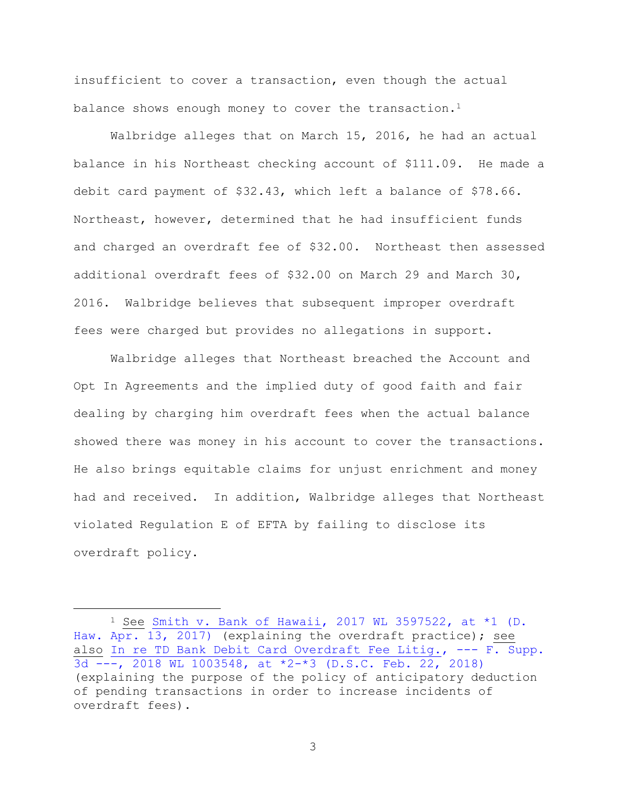insufficient to cover a transaction, even though the actual balance shows enough money to cover the transaction.<sup>1</sup>

Walbridge alleges that on March 15, 2016, he had an actual balance in his Northeast checking account of \$111.09. He made a debit card payment of \$32.43, which left a balance of \$78.66. Northeast, however, determined that he had insufficient funds and charged an overdraft fee of \$32.00. Northeast then assessed additional overdraft fees of \$32.00 on March 29 and March 30, 2016. Walbridge believes that subsequent improper overdraft fees were charged but provides no allegations in support.

Walbridge alleges that Northeast breached the Account and Opt In Agreements and the implied duty of good faith and fair dealing by charging him overdraft fees when the actual balance showed there was money in his account to cover the transactions. He also brings equitable claims for unjust enrichment and money had and received. In addition, Walbridge alleges that Northeast violated Regulation E of EFTA by failing to disclose its overdraft policy.

<sup>&</sup>lt;sup>1</sup> See Smith v. Bank of Hawaii, 2017 WL 3597522, at  $*1$  (D. [Haw. Apr. 13, 2017\)](https://www.westlaw.com/Document/Ida031050876511e7b7978f65e9bf93b3/View/FullText.html?transitionType=Default&contextData=(sc.Default)&VR=3.0&RS=da3.0&fragmentIdentifier=co_pp_sp_999_1) (explaining the overdraft practice); see also [In re TD Bank Debit Card Overdraft Fee Litig., ---](https://www.westlaw.com/Document/Iea9f66d017d811e89eae9724b55643c5/View/FullText.html?transitionType=Default&contextData=(sc.Default)&VR=3.0&RS=da3.0&fragmentIdentifier=co_pp_sp_999_2) F. Supp.  $\overline{3d -1}$ , 2018 WL 1003548, at \*2-\*3 (D.S.C. Feb. 22, 2018) (explaining the purpose of the policy of anticipatory deduction of pending transactions in order to increase incidents of overdraft fees).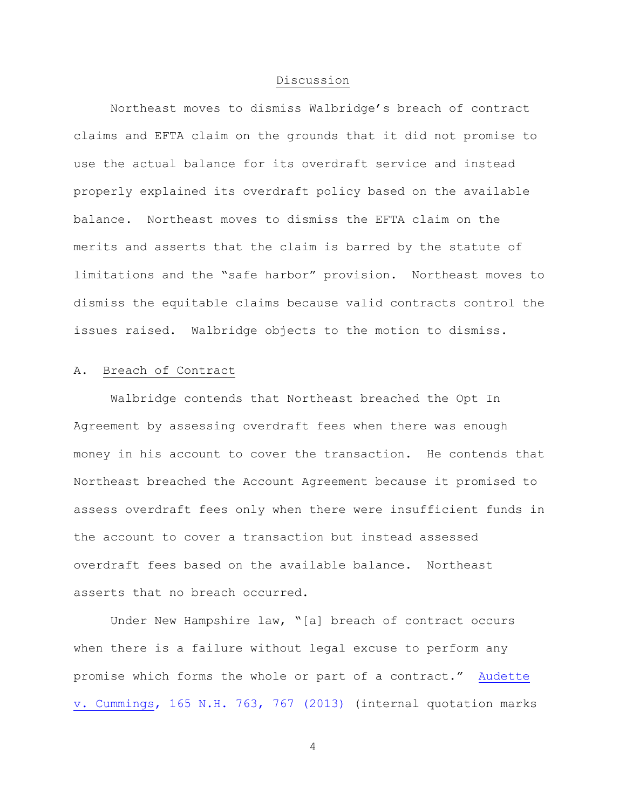#### Discussion

Northeast moves to dismiss Walbridge's breach of contract claims and EFTA claim on the grounds that it did not promise to use the actual balance for its overdraft service and instead properly explained its overdraft policy based on the available balance. Northeast moves to dismiss the EFTA claim on the merits and asserts that the claim is barred by the statute of limitations and the "safe harbor" provision. Northeast moves to dismiss the equitable claims because valid contracts control the issues raised. Walbridge objects to the motion to dismiss.

### A. Breach of Contract

Walbridge contends that Northeast breached the Opt In Agreement by assessing overdraft fees when there was enough money in his account to cover the transaction. He contends that Northeast breached the Account Agreement because it promised to assess overdraft fees only when there were insufficient funds in the account to cover a transaction but instead assessed overdraft fees based on the available balance. Northeast asserts that no breach occurred.

Under New Hampshire law, "[a] breach of contract occurs when there is a failure without legal excuse to perform any promise which forms the whole or part of a contract." [Audette](https://www.westlaw.com/Document/If88c6f2f6be611e38913df21cb42a557/View/FullText.html?transitionType=Default&contextData=(sc.Default)&VR=3.0&RS=da3.0&fragmentIdentifier=co_pp_sp_579_767)  [v. Cummings, 165 N.H. 763, 767 \(2013\)](https://www.westlaw.com/Document/If88c6f2f6be611e38913df21cb42a557/View/FullText.html?transitionType=Default&contextData=(sc.Default)&VR=3.0&RS=da3.0&fragmentIdentifier=co_pp_sp_579_767) (internal quotation marks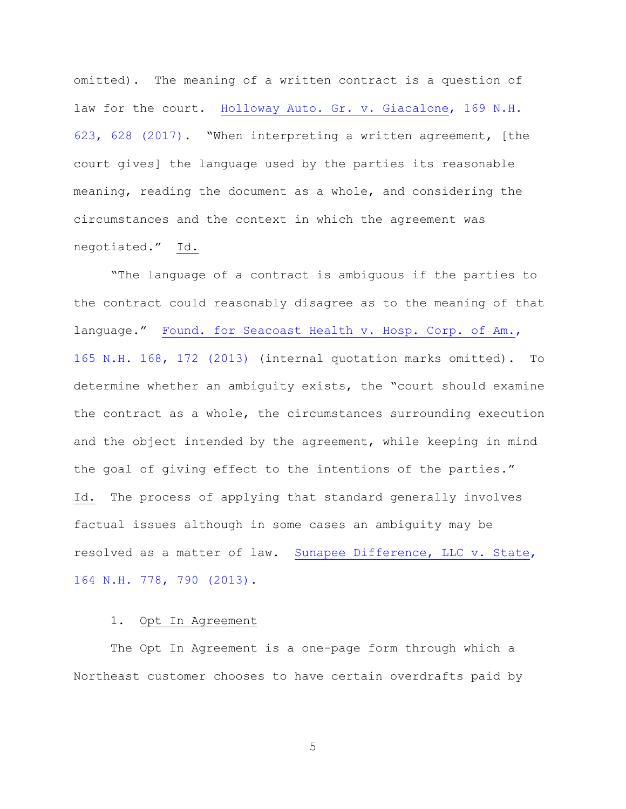omitted). The meaning of a written contract is a question of law for the court. [Holloway Auto. Gr. v. Giacalone, 169 N.H.](https://www.westlaw.com/Document/I8535fab0f3e011e681b2a67ea2e2f62b/View/FullText.html?transitionType=Default&contextData=(sc.Default)&VR=3.0&RS=da3.0&fragmentIdentifier=co_pp_sp_579_628)  [623, 628 \(2017\)](https://www.westlaw.com/Document/I8535fab0f3e011e681b2a67ea2e2f62b/View/FullText.html?transitionType=Default&contextData=(sc.Default)&VR=3.0&RS=da3.0&fragmentIdentifier=co_pp_sp_579_628). "When interpreting a written agreement, [the court gives] the language used by the parties its reasonable meaning, reading the document as a whole, and considering the circumstances and the context in which the agreement was negotiated." Id.

"The language of a contract is ambiguous if the parties to the contract could reasonably disagree as to the meaning of that language." [Found. for Seacoast Health v. Hosp. Corp. of Am.,](https://www.westlaw.com/Document/I482ddefdec0a11e2a98ec867961a22de/View/FullText.html?transitionType=Default&contextData=(sc.Default)&VR=3.0&RS=da3.0&fragmentIdentifier=co_pp_sp_579_172)  [165 N.H. 168, 172 \(2013\)](https://www.westlaw.com/Document/I482ddefdec0a11e2a98ec867961a22de/View/FullText.html?transitionType=Default&contextData=(sc.Default)&VR=3.0&RS=da3.0&fragmentIdentifier=co_pp_sp_579_172) (internal quotation marks omitted). To determine whether an ambiguity exists, the "court should examine the contract as a whole, the circumstances surrounding execution and the object intended by the agreement, while keeping in mind the goal of giving effect to the intentions of the parties." Id. The process of applying that standard generally involves factual issues although in some cases an ambiguity may be resolved as a matter of law. [Sunapee Difference, LLC v. State,](https://www.westlaw.com/Document/Ifae0a3ffb18c11e28500bda794601919/View/FullText.html?transitionType=Default&contextData=(sc.Default)&VR=3.0&RS=da3.0&fragmentIdentifier=co_pp_sp_579_790)  [164 N.H. 778, 790 \(2013\).](https://www.westlaw.com/Document/Ifae0a3ffb18c11e28500bda794601919/View/FullText.html?transitionType=Default&contextData=(sc.Default)&VR=3.0&RS=da3.0&fragmentIdentifier=co_pp_sp_579_790)

# 1. Opt In Agreement

The Opt In Agreement is a one-page form through which a Northeast customer chooses to have certain overdrafts paid by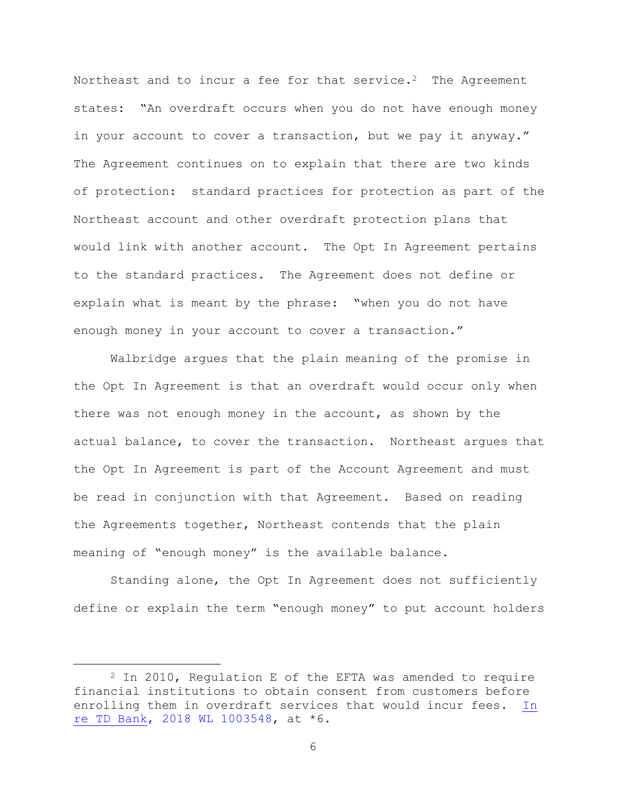Northeast and to incur a fee for that service.<sup>2</sup> The Agreement states: "An overdraft occurs when you do not have enough money in your account to cover a transaction, but we pay it anyway." The Agreement continues on to explain that there are two kinds of protection: standard practices for protection as part of the Northeast account and other overdraft protection plans that would link with another account. The Opt In Agreement pertains to the standard practices. The Agreement does not define or explain what is meant by the phrase: "when you do not have enough money in your account to cover a transaction."

Walbridge argues that the plain meaning of the promise in the Opt In Agreement is that an overdraft would occur only when there was not enough money in the account, as shown by the actual balance, to cover the transaction. Northeast argues that the Opt In Agreement is part of the Account Agreement and must be read in conjunction with that Agreement. Based on reading the Agreements together, Northeast contends that the plain meaning of "enough money" is the available balance.

Standing alone, the Opt In Agreement does not sufficiently define or explain the term "enough money" to put account holders

 $2$  In 2010, Regulation E of the EFTA was amended to require financial institutions to obtain consent from customers before enrolling them in overdraft services that would incur fees. [In](https://www.westlaw.com/Document/Iea9f66d017d811e89eae9724b55643c5/View/FullText.html?transitionType=Default&contextData=(sc.Default)&VR=3.0&RS=da3.0)  [re TD Bank, 2018 WL 1003548,](https://www.westlaw.com/Document/Iea9f66d017d811e89eae9724b55643c5/View/FullText.html?transitionType=Default&contextData=(sc.Default)&VR=3.0&RS=da3.0) at \*6.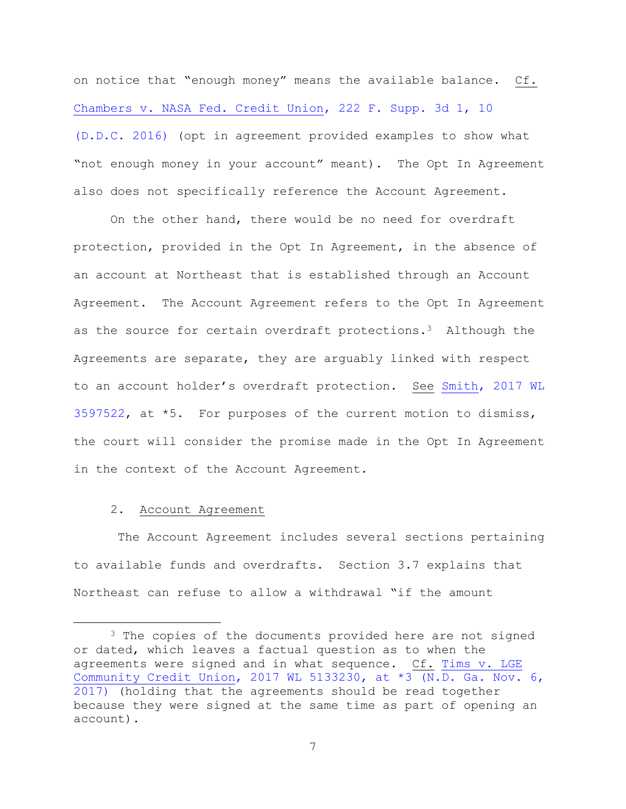on notice that "enough money" means the available balance. Cf. [Chambers v. NASA Fed. Credit Union, 222 F. Supp. 3d 1, 10](https://www.westlaw.com/Document/I24b61c609a4e11e6bdb7b23a3c66d5b3/View/FullText.html?transitionType=Default&contextData=(sc.Default)&VR=3.0&RS=da3.0&fragmentIdentifier=co_pp_sp_7903_10)  [\(D.D.C. 2016\)](https://www.westlaw.com/Document/I24b61c609a4e11e6bdb7b23a3c66d5b3/View/FullText.html?transitionType=Default&contextData=(sc.Default)&VR=3.0&RS=da3.0&fragmentIdentifier=co_pp_sp_7903_10) (opt in agreement provided examples to show what "not enough money in your account" meant). The Opt In Agreement also does not specifically reference the Account Agreement.

On the other hand, there would be no need for overdraft protection, provided in the Opt In Agreement, in the absence of an account at Northeast that is established through an Account Agreement. The Account Agreement refers to the Opt In Agreement as the source for certain overdraft protections.3 Although the Agreements are separate, they are arguably linked with respect to an account holder's overdraft protection. See [Smith, 2017 WL](https://www.westlaw.com/Document/Ida031050876511e7b7978f65e9bf93b3/View/FullText.html?transitionType=Default&contextData=(sc.Default)&VR=3.0&RS=da3.0)  [3597522,](https://www.westlaw.com/Document/Ida031050876511e7b7978f65e9bf93b3/View/FullText.html?transitionType=Default&contextData=(sc.Default)&VR=3.0&RS=da3.0) at \*5. For purposes of the current motion to dismiss, the court will consider the promise made in the Opt In Agreement in the context of the Account Agreement.

#### 2. Account Agreement

÷.

The Account Agreement includes several sections pertaining to available funds and overdrafts. Section 3.7 explains that Northeast can refuse to allow a withdrawal "if the amount

<sup>&</sup>lt;sup>3</sup> The copies of the documents provided here are not signed or dated, which leaves a factual question as to when the agreements were signed and in what sequence. Cf. Tims v. LGE [Community Credit Union, 2017 WL 5133230, at \\*3 \(N.D. Ga. Nov. 6,](https://www.westlaw.com/Document/Ib9f26460c3a511e7bf23e096364180a5/View/FullText.html?transitionType=Default&contextData=(sc.Default)&VR=3.0&RS=da3.0&fragmentIdentifier=co_pp_sp_999_3)  [2017\)](https://www.westlaw.com/Document/Ib9f26460c3a511e7bf23e096364180a5/View/FullText.html?transitionType=Default&contextData=(sc.Default)&VR=3.0&RS=da3.0&fragmentIdentifier=co_pp_sp_999_3) (holding that the agreements should be read together because they were signed at the same time as part of opening an account).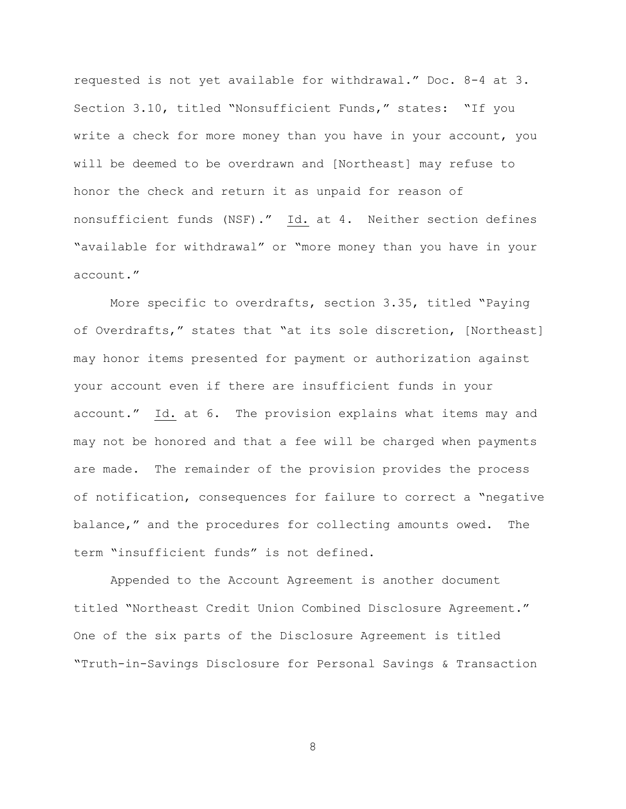requested is not yet available for withdrawal." Doc. 8-4 at 3. Section 3.10, titled "Nonsufficient Funds," states: "If you write a check for more money than you have in your account, you will be deemed to be overdrawn and [Northeast] may refuse to honor the check and return it as unpaid for reason of nonsufficient funds (NSF)." Id. at 4. Neither section defines "available for withdrawal" or "more money than you have in your account."

More specific to overdrafts, section 3.35, titled "Paying of Overdrafts," states that "at its sole discretion, [Northeast] may honor items presented for payment or authorization against your account even if there are insufficient funds in your account." Id. at 6. The provision explains what items may and may not be honored and that a fee will be charged when payments are made. The remainder of the provision provides the process of notification, consequences for failure to correct a "negative balance," and the procedures for collecting amounts owed. The term "insufficient funds" is not defined.

Appended to the Account Agreement is another document titled "Northeast Credit Union Combined Disclosure Agreement." One of the six parts of the Disclosure Agreement is titled "Truth-in-Savings Disclosure for Personal Savings & Transaction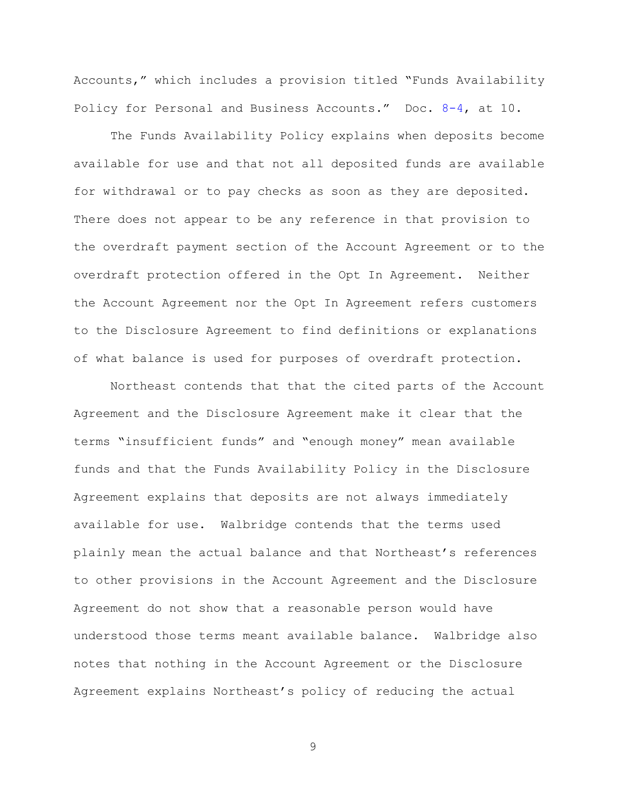Accounts," which includes a provision titled "Funds Availability Policy for Personal and Business Accounts." Doc. [8-4,](https://ecf.nhd.uscourts.gov/doc1/11711990032) at 10.

The Funds Availability Policy explains when deposits become available for use and that not all deposited funds are available for withdrawal or to pay checks as soon as they are deposited. There does not appear to be any reference in that provision to the overdraft payment section of the Account Agreement or to the overdraft protection offered in the Opt In Agreement. Neither the Account Agreement nor the Opt In Agreement refers customers to the Disclosure Agreement to find definitions or explanations of what balance is used for purposes of overdraft protection.

Northeast contends that that the cited parts of the Account Agreement and the Disclosure Agreement make it clear that the terms "insufficient funds" and "enough money" mean available funds and that the Funds Availability Policy in the Disclosure Agreement explains that deposits are not always immediately available for use. Walbridge contends that the terms used plainly mean the actual balance and that Northeast's references to other provisions in the Account Agreement and the Disclosure Agreement do not show that a reasonable person would have understood those terms meant available balance. Walbridge also notes that nothing in the Account Agreement or the Disclosure Agreement explains Northeast's policy of reducing the actual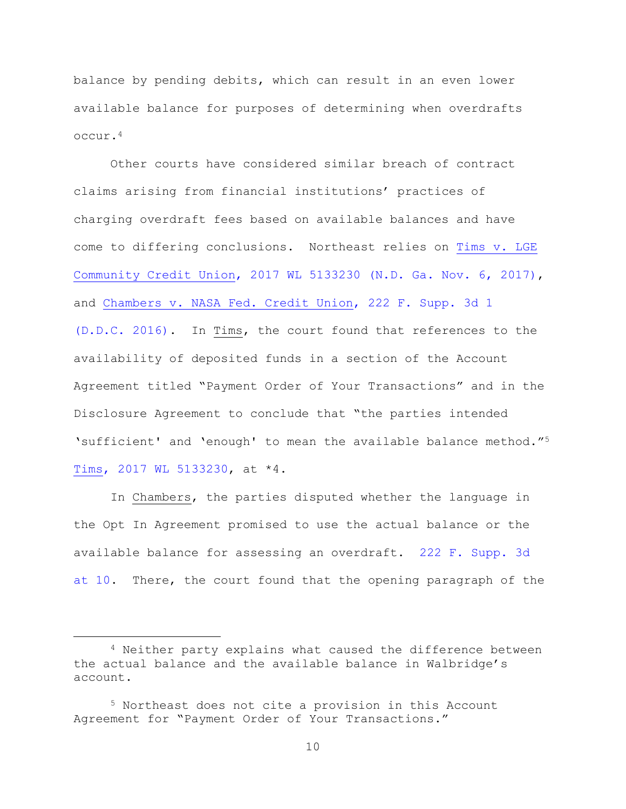balance by pending debits, which can result in an even lower available balance for purposes of determining when overdrafts occur.<sup>4</sup>

Other courts have considered similar breach of contract claims arising from financial institutions' practices of charging overdraft fees based on available balances and have come to differing conclusions. Northeast relies on [Tims v.](https://www.westlaw.com/Document/Ib9f26460c3a511e7bf23e096364180a5/View/FullText.html?transitionType=Default&contextData=(sc.Default)&VR=3.0&RS=da3.0) LGE [Community Credit Union, 2017 WL 5133230 \(N.D. Ga. Nov. 6, 2017\),](https://www.westlaw.com/Document/Ib9f26460c3a511e7bf23e096364180a5/View/FullText.html?transitionType=Default&contextData=(sc.Default)&VR=3.0&RS=da3.0) and [Chambers v. NASA Fed. Credit Union, 222 F. Supp. 3d 1](https://www.westlaw.com/Document/I24b61c609a4e11e6bdb7b23a3c66d5b3/View/FullText.html?transitionType=Default&contextData=(sc.Default)&VR=3.0&RS=da3.0)  [\(D.D.C. 2016\).](https://www.westlaw.com/Document/I24b61c609a4e11e6bdb7b23a3c66d5b3/View/FullText.html?transitionType=Default&contextData=(sc.Default)&VR=3.0&RS=da3.0) In Tims, the court found that references to the availability of deposited funds in a section of the Account Agreement titled "Payment Order of Your Transactions" and in the Disclosure Agreement to conclude that "the parties intended 'sufficient' and 'enough' to mean the available balance method."<sup>5</sup> [Tims, 2017 WL 5133230,](https://www.westlaw.com/Document/Ib9f26460c3a511e7bf23e096364180a5/View/FullText.html?transitionType=Default&contextData=(sc.Default)&VR=3.0&RS=da3.0) at \*4.

In Chambers, the parties disputed whether the language in the Opt In Agreement promised to use the actual balance or the available balance for assessing an overdraft. [222 F. Supp. 3d](https://www.westlaw.com/Document/I24b61c609a4e11e6bdb7b23a3c66d5b3/View/FullText.html?transitionType=Default&contextData=(sc.Default)&VR=3.0&RS=da3.0&fragmentIdentifier=co_pp_sp_7903_10)  [at 10.](https://www.westlaw.com/Document/I24b61c609a4e11e6bdb7b23a3c66d5b3/View/FullText.html?transitionType=Default&contextData=(sc.Default)&VR=3.0&RS=da3.0&fragmentIdentifier=co_pp_sp_7903_10) There, the court found that the opening paragraph of the

<sup>4</sup> Neither party explains what caused the difference between the actual balance and the available balance in Walbridge's account.

<sup>5</sup> Northeast does not cite a provision in this Account Agreement for "Payment Order of Your Transactions."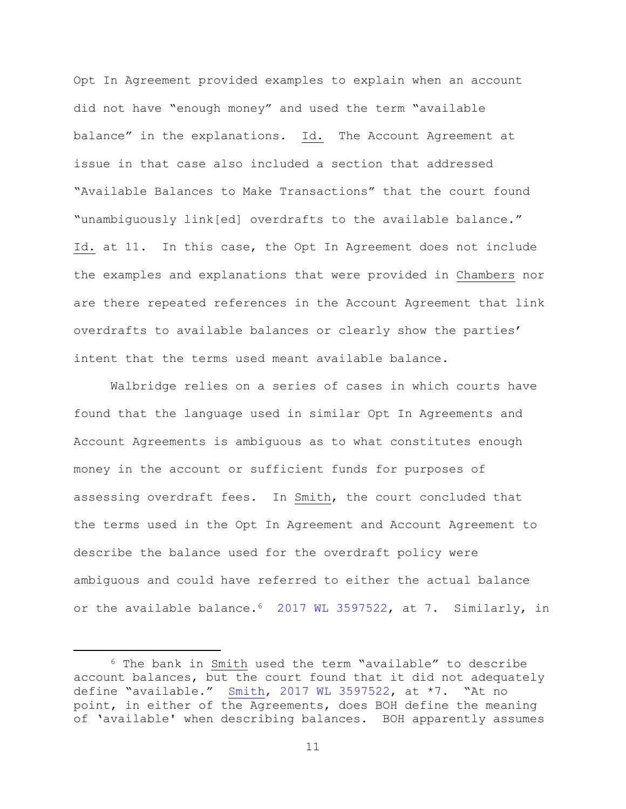Opt In Agreement provided examples to explain when an account did not have "enough money" and used the term "available balance" in the explanations. Id. The Account Agreement at issue in that case also included a section that addressed "Available Balances to Make Transactions" that the court found "unambiguously link[ed] overdrafts to the available balance." Id. at 11. In this case, the Opt In Agreement does not include the examples and explanations that were provided in Chambers nor are there repeated references in the Account Agreement that link overdrafts to available balances or clearly show the parties' intent that the terms used meant available balance.

Walbridge relies on a series of cases in which courts have found that the language used in similar Opt In Agreements and Account Agreements is ambiguous as to what constitutes enough money in the account or sufficient funds for purposes of assessing overdraft fees. In Smith, the court concluded that the terms used in the Opt In Agreement and Account Agreement to describe the balance used for the overdraft policy were ambiguous and could have referred to either the actual balance or the available balance.<sup>6</sup> [2017 WL 3597522,](https://www.westlaw.com/Document/Ida031050876511e7b7978f65e9bf93b3/View/FullText.html?transitionType=Default&contextData=(sc.Default)&VR=3.0&RS=da3.0) at 7. Similarly, in

<sup>6</sup> The bank in Smith used the term "available" to describe account balances, but the court found that it did not adequately define "available." [Smith, 2017 WL 3597522,](https://www.westlaw.com/Document/Ida031050876511e7b7978f65e9bf93b3/View/FullText.html?transitionType=Default&contextData=(sc.Default)&VR=3.0&RS=da3.0) at \*7. "At no point, in either of the Agreements, does BOH define the meaning of 'available' when describing balances. BOH apparently assumes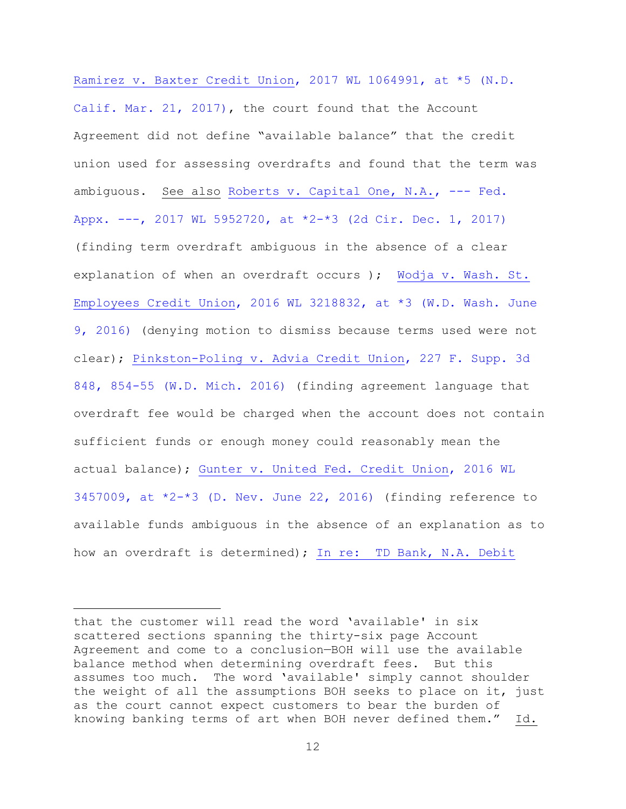[Ramirez v. Baxter Credit Union, 2017 WL 1064991, at \\*5 \(N.D.](https://www.westlaw.com/Document/I1780faa00ef311e7a584a0a13bd3e099/View/FullText.html?transitionType=Default&contextData=(sc.Default)&VR=3.0&RS=da3.0&fragmentIdentifier=co_pp_sp_999_5)  [Calif. Mar. 21, 2017\),](https://www.westlaw.com/Document/I1780faa00ef311e7a584a0a13bd3e099/View/FullText.html?transitionType=Default&contextData=(sc.Default)&VR=3.0&RS=da3.0&fragmentIdentifier=co_pp_sp_999_5) the court found that the Account Agreement did not define "available balance" that the credit union used for assessing overdrafts and found that the term was ambiguous. See also [Roberts v. Capital One, N.A., ---](https://1.next.westlaw.com/Document/I0801e540d71011e78c5db03c58f2bc1d/View/FullText.html?transitionType=UniqueDocItem&contextData=(sc.Search)&userEnteredCitation=2017+WL+5952720) Fed. Appx. ---, 2017 WL 5952720, [at \\*2-\\*3 \(2d Cir. Dec. 1, 2017\)](https://1.next.westlaw.com/Document/I0801e540d71011e78c5db03c58f2bc1d/View/FullText.html?transitionType=UniqueDocItem&contextData=(sc.Search)&userEnteredCitation=2017+WL+5952720) (finding term overdraft ambiguous in the absence of a clear explanation of when an overdraft occurs ); [Wodja v. Wash. St.](https://www.westlaw.com/Document/Ic8c5caa0314c11e687dda03c2315206d/View/FullText.html?transitionType=Default&contextData=(sc.Default)&VR=3.0&RS=da3.0&fragmentIdentifier=co_pp_sp_999_3)  [Employees Credit Union, 2016 WL 3218832, at \\*3 \(W.D. Wash. June](https://www.westlaw.com/Document/Ic8c5caa0314c11e687dda03c2315206d/View/FullText.html?transitionType=Default&contextData=(sc.Default)&VR=3.0&RS=da3.0&fragmentIdentifier=co_pp_sp_999_3)  [9, 2016\)](https://www.westlaw.com/Document/Ic8c5caa0314c11e687dda03c2315206d/View/FullText.html?transitionType=Default&contextData=(sc.Default)&VR=3.0&RS=da3.0&fragmentIdentifier=co_pp_sp_999_3) (denying motion to dismiss because terms used were not clear); [Pinkston-Poling v. Advia Credit Union, 227 F. Supp. 3d](https://www.westlaw.com/Document/Ie72672e0ce2411e6ac07a76176915fee/View/FullText.html?transitionType=Default&contextData=(sc.Default)&VR=3.0&RS=da3.0&fragmentIdentifier=co_pp_sp_7903_854)  848, [854-55 \(W.D. Mich. 2016\)](https://www.westlaw.com/Document/Ie72672e0ce2411e6ac07a76176915fee/View/FullText.html?transitionType=Default&contextData=(sc.Default)&VR=3.0&RS=da3.0&fragmentIdentifier=co_pp_sp_7903_854) (finding agreement language that overdraft fee would be charged when the account does not contain sufficient funds or enough money could reasonably mean the actual balance); [Gunter v. United Fed. Credit Union, 2016 WL](https://www.westlaw.com/Document/Ia83fa3e03b3411e68a49905015f0787e/View/FullText.html?transitionType=Default&contextData=(sc.Default)&VR=3.0&RS=da3.0&fragmentIdentifier=co_pp_sp_999_2)   $3457009$ , at  $*2-*3$  (D. Nev. June 22, 2016) (finding reference to available funds ambiguous in the absence of an explanation as to how an overdraft is determined); In re: TD Bank, N.A. Debit

that the customer will read the word 'available' in six scattered sections spanning the thirty-six page Account Agreement and come to a conclusion—BOH will use the available balance method when determining overdraft fees. But this assumes too much. The word 'available' simply cannot shoulder the weight of all the assumptions BOH seeks to place on it, just as the court cannot expect customers to bear the burden of knowing banking terms of art when BOH never defined them." Id.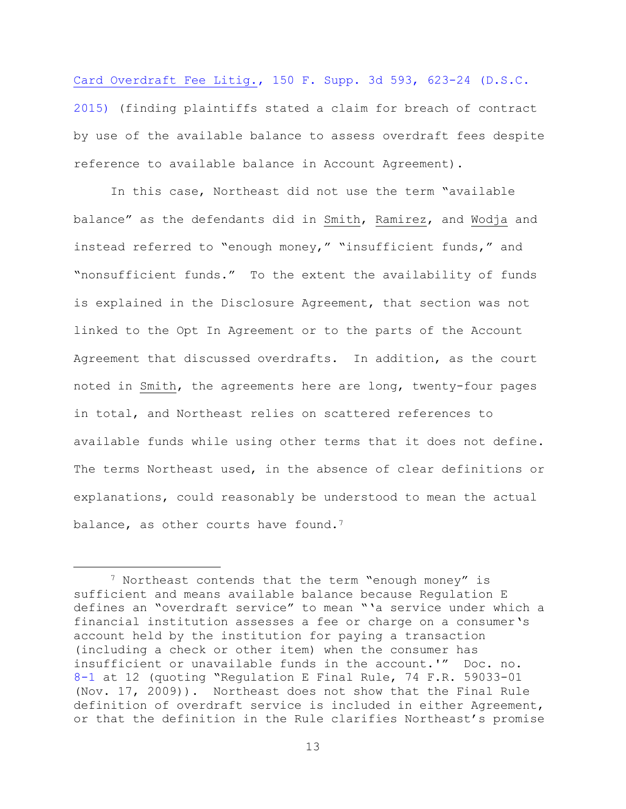[Card Overdraft Fee Litig., 150 F. Supp. 3d 593, 623-24 \(D.S.C.](https://www.westlaw.com/Document/I05e7dc10a0ee11e5b10893af99153f48/View/FullText.html?transitionType=Default&contextData=(sc.Default)&VR=3.0&RS=da3.0&fragmentIdentifier=co_pp_sp_7903_623)  [2015\)](https://www.westlaw.com/Document/I05e7dc10a0ee11e5b10893af99153f48/View/FullText.html?transitionType=Default&contextData=(sc.Default)&VR=3.0&RS=da3.0&fragmentIdentifier=co_pp_sp_7903_623) (finding plaintiffs stated a claim for breach of contract by use of the available balance to assess overdraft fees despite reference to available balance in Account Agreement).

In this case, Northeast did not use the term "available balance" as the defendants did in Smith, Ramirez, and Wodja and instead referred to "enough money," "insufficient funds," and "nonsufficient funds." To the extent the availability of funds is explained in the Disclosure Agreement, that section was not linked to the Opt In Agreement or to the parts of the Account Agreement that discussed overdrafts. In addition, as the court noted in Smith, the agreements here are long, twenty-four pages in total, and Northeast relies on scattered references to available funds while using other terms that it does not define. The terms Northeast used, in the absence of clear definitions or explanations, could reasonably be understood to mean the actual balance, as other courts have found.<sup>7</sup>

<sup>&</sup>lt;sup>7</sup> Northeast contends that the term "enough money" is sufficient and means available balance because Regulation E defines an "overdraft service" to mean "'a service under which a financial institution assesses a fee or charge on a consumer's account held by the institution for paying a transaction (including a check or other item) when the consumer has insufficient or unavailable funds in the account.'" Doc. no. [8-1](https://ecf.nhd.uscourts.gov/doc1/11711990029) at 12 (quoting "Regulation E Final Rule, 74 F.R. 59033-01 (Nov. 17, 2009)). Northeast does not show that the Final Rule definition of overdraft service is included in either Agreement, or that the definition in the Rule clarifies Northeast's promise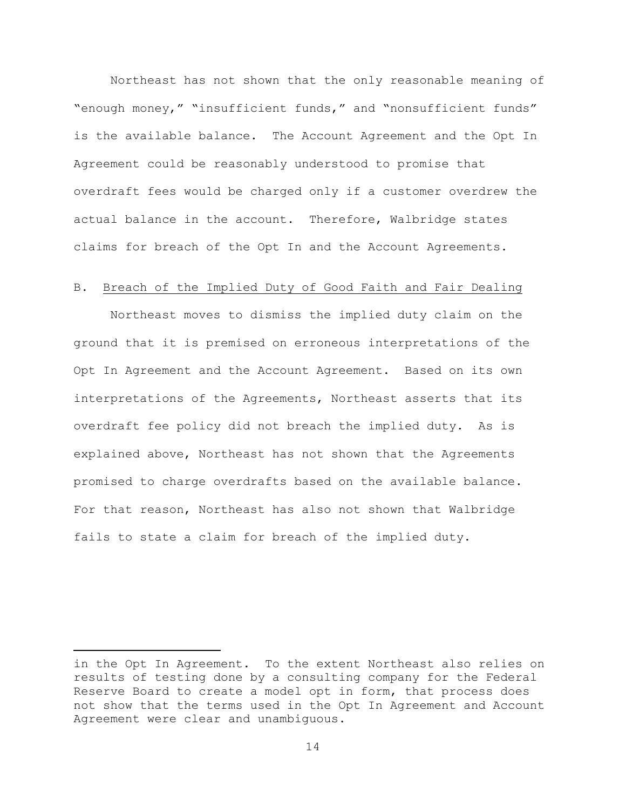Northeast has not shown that the only reasonable meaning of "enough money," "insufficient funds," and "nonsufficient funds" is the available balance. The Account Agreement and the Opt In Agreement could be reasonably understood to promise that overdraft fees would be charged only if a customer overdrew the actual balance in the account. Therefore, Walbridge states claims for breach of the Opt In and the Account Agreements.

# B. Breach of the Implied Duty of Good Faith and Fair Dealing

Northeast moves to dismiss the implied duty claim on the ground that it is premised on erroneous interpretations of the Opt In Agreement and the Account Agreement. Based on its own interpretations of the Agreements, Northeast asserts that its overdraft fee policy did not breach the implied duty. As is explained above, Northeast has not shown that the Agreements promised to charge overdrafts based on the available balance. For that reason, Northeast has also not shown that Walbridge fails to state a claim for breach of the implied duty.

in the Opt In Agreement. To the extent Northeast also relies on results of testing done by a consulting company for the Federal Reserve Board to create a model opt in form, that process does not show that the terms used in the Opt In Agreement and Account Agreement were clear and unambiguous.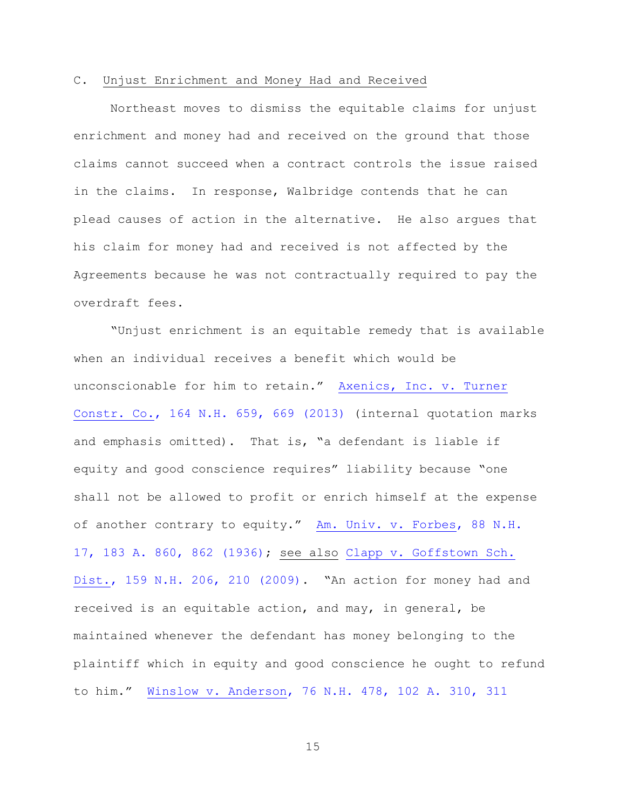#### C. Unjust Enrichment and Money Had and Received

Northeast moves to dismiss the equitable claims for unjust enrichment and money had and received on the ground that those claims cannot succeed when a contract controls the issue raised in the claims. In response, Walbridge contends that he can plead causes of action in the alternative. He also argues that his claim for money had and received is not affected by the Agreements because he was not contractually required to pay the overdraft fees.

"Unjust enrichment is an equitable remedy that is available when an individual receives a benefit which would be unconscionable for him to retain." [Axenics, Inc. v. Turner](https://www.westlaw.com/Document/I6524df588c4a11e28a21ccb9036b2470/View/FullText.html?transitionType=Default&contextData=(sc.Default)&VR=3.0&RS=da3.0&fragmentIdentifier=co_pp_sp_579_669)  [Constr. Co., 164 N.H. 659, 669 \(2013\)](https://www.westlaw.com/Document/I6524df588c4a11e28a21ccb9036b2470/View/FullText.html?transitionType=Default&contextData=(sc.Default)&VR=3.0&RS=da3.0&fragmentIdentifier=co_pp_sp_579_669) (internal quotation marks and emphasis omitted). That is, "a defendant is liable if equity and good conscience requires" liability because "one shall not be allowed to profit or enrich himself at the expense of another contrary to equity." [Am. Univ. v. Forbes, 88 N.H.](https://www.westlaw.com/Document/If36527a8338511d98b61a35269fc5f88/View/FullText.html?transitionType=Default&contextData=(sc.Default)&VR=3.0&RS=da3.0&fragmentIdentifier=co_pp_sp_161_862)  [17, 183 A. 860, 862 \(1936\);](https://www.westlaw.com/Document/If36527a8338511d98b61a35269fc5f88/View/FullText.html?transitionType=Default&contextData=(sc.Default)&VR=3.0&RS=da3.0&fragmentIdentifier=co_pp_sp_161_862) see also [Clapp v. Goffstown Sch.](https://www.westlaw.com/Document/I231f7b7281d011de9988d233d23fe599/View/FullText.html?transitionType=Default&contextData=(sc.Default)&VR=3.0&RS=da3.0&fragmentIdentifier=co_pp_sp_579_210)  [Dist., 159 N.H. 206, 210 \(2009\).](https://www.westlaw.com/Document/I231f7b7281d011de9988d233d23fe599/View/FullText.html?transitionType=Default&contextData=(sc.Default)&VR=3.0&RS=da3.0&fragmentIdentifier=co_pp_sp_579_210) "An action for money had and received is an equitable action, and may, in general, be maintained whenever the defendant has money belonging to the plaintiff which in equity and good conscience he ought to refund to him." [Winslow v. Anderson, 76 N.H. 478, 102 A. 310, 311](https://www.westlaw.com/Document/I39492c735c3111d9a99c85a9e6023ffa/View/FullText.html?transitionType=Default&contextData=(sc.Default)&VR=3.0&RS=da3.0&fragmentIdentifier=co_pp_sp_161_311)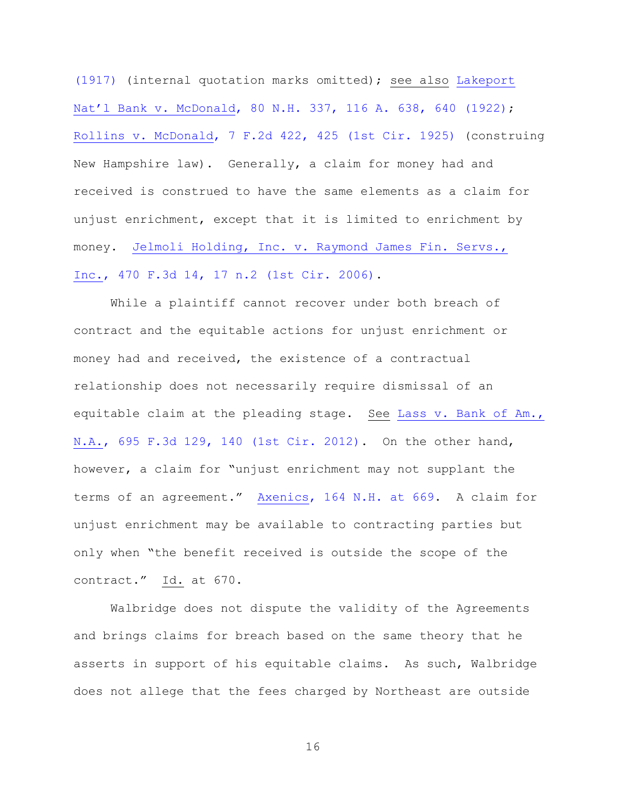[\(1917\)](https://www.westlaw.com/Document/I39492c735c3111d9a99c85a9e6023ffa/View/FullText.html?transitionType=Default&contextData=(sc.Default)&VR=3.0&RS=da3.0&fragmentIdentifier=co_pp_sp_161_311) (internal quotation marks omitted); see also [Lakeport](https://www.westlaw.com/Document/Ieba02dc0334a11d986b0aa9c82c164c0/View/FullText.html?transitionType=Default&contextData=(sc.Default)&VR=3.0&RS=da3.0&fragmentIdentifier=co_pp_sp_161_640)  Nat'l Bank v. McDonald[, 80 N.H. 337, 116 A. 638, 640 \(1922\);](https://www.westlaw.com/Document/Ieba02dc0334a11d986b0aa9c82c164c0/View/FullText.html?transitionType=Default&contextData=(sc.Default)&VR=3.0&RS=da3.0&fragmentIdentifier=co_pp_sp_161_640) [Rollins v. McDonald, 7 F.2d 422, 425 \(1st Cir. 1925\)](https://www.westlaw.com/Document/I4eb5b642546211d9a99c85a9e6023ffa/View/FullText.html?transitionType=Default&contextData=(sc.Default)&VR=3.0&RS=da3.0&fragmentIdentifier=co_pp_sp_350_425) (construing New Hampshire law). Generally, a claim for money had and received is construed to have the same elements as a claim for unjust enrichment, except that it is limited to enrichment by money. [Jelmoli Holding, Inc. v. Raymond James Fin. Servs.,](https://www.westlaw.com/Document/Ic31cfd28765b11dbb29ecfd71e79cb92/View/FullText.html?transitionType=Default&contextData=(sc.Default)&VR=3.0&RS=da3.0&fragmentIdentifier=co_pp_sp_506_17+n.2)  [Inc., 470 F.3d 14, 17 n.2 \(1st Cir. 2006\).](https://www.westlaw.com/Document/Ic31cfd28765b11dbb29ecfd71e79cb92/View/FullText.html?transitionType=Default&contextData=(sc.Default)&VR=3.0&RS=da3.0&fragmentIdentifier=co_pp_sp_506_17+n.2)

While a plaintiff cannot recover under both breach of contract and the equitable actions for unjust enrichment or money had and received, the existence of a contractual relationship does not necessarily require dismissal of an equitable claim at the pleading stage. See [Lass v. Bank of Am.,](https://www.westlaw.com/Document/I30eedc1303f411e2b11ea85d0b248d27/View/FullText.html?transitionType=Default&contextData=(sc.Default)&VR=3.0&RS=da3.0&fragmentIdentifier=co_pp_sp_506_140)  [N.A., 695 F.3d 129, 140 \(1st Cir. 2012\).](https://www.westlaw.com/Document/I30eedc1303f411e2b11ea85d0b248d27/View/FullText.html?transitionType=Default&contextData=(sc.Default)&VR=3.0&RS=da3.0&fragmentIdentifier=co_pp_sp_506_140) On the other hand, however, a claim for "unjust enrichment may not supplant the terms of an agreement." [Axenics, 164 N.H. at 669.](https://www.westlaw.com/Document/I6524df588c4a11e28a21ccb9036b2470/View/FullText.html?transitionType=Default&contextData=(sc.Default)&VR=3.0&RS=da3.0&fragmentIdentifier=co_pp_sp_579_669) A claim for unjust enrichment may be available to contracting parties but only when "the benefit received is outside the scope of the contract." Id. at 670.

Walbridge does not dispute the validity of the Agreements and brings claims for breach based on the same theory that he asserts in support of his equitable claims. As such, Walbridge does not allege that the fees charged by Northeast are outside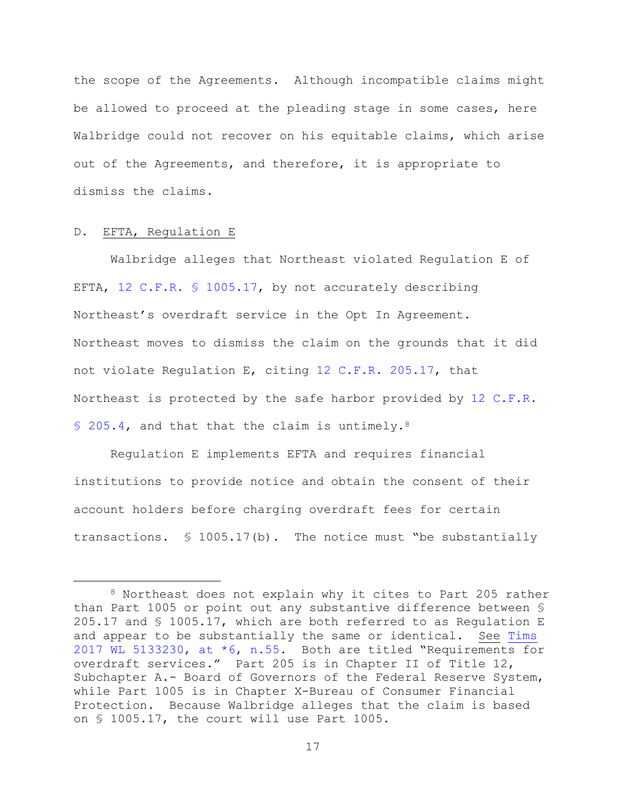the scope of the Agreements. Although incompatible claims might be allowed to proceed at the pleading stage in some cases, here Walbridge could not recover on his equitable claims, which arise out of the Agreements, and therefore, it is appropriate to dismiss the claims.

### D. EFTA, Regulation E

÷.

Walbridge alleges that Northeast violated Regulation E of EFTA, [12 C.F.R. § 1005.17,](https://www.westlaw.com/Document/N7FD4A3E0450211E3AF52E5FDAE78207E/View/FullText.html?transitionType=Default&contextData=(sc.Default)&VR=3.0&RS=da3.0) by not accurately describing Northeast's overdraft service in the Opt In Agreement. Northeast moves to dismiss the claim on the grounds that it did not violate Regulation E, citing [12 C.F.R. 205.17,](https://www.westlaw.com/Document/N8F2ABDC08ADE11DF9273B44CA479346B/View/FullText.html?transitionType=Default&contextData=(sc.Default)&VR=3.0&RS=da3.0) that Northeast is protected by the safe harbor provided by [12 C.F.R.](https://www.westlaw.com/Document/N38ABC0D0AFD111DF9DBEA900468B10B3/View/FullText.html?transitionType=Default&contextData=(sc.Default)&VR=3.0&RS=da3.0)  [§ 205.4,](https://www.westlaw.com/Document/N38ABC0D0AFD111DF9DBEA900468B10B3/View/FullText.html?transitionType=Default&contextData=(sc.Default)&VR=3.0&RS=da3.0) and that that the claim is untimely.<sup>8</sup>

Regulation E implements EFTA and requires financial institutions to provide notice and obtain the consent of their account holders before charging overdraft fees for certain transactions. § 1005.17(b). The notice must "be substantially

<sup>8</sup> Northeast does not explain why it cites to Part 205 rather than Part 1005 or point out any substantive difference between § 205.17 and § 1005.17, which are both referred to as Regulation E and appear to be substantially the same or identical. See [Tims](https://www.westlaw.com/Document/Ib9f26460c3a511e7bf23e096364180a5/View/FullText.html?transitionType=Default&contextData=(sc.Default)&VR=3.0&RS=da3.0&fragmentIdentifier=co_pp_sp_999_6) [2017 WL 5133230, at \\*6, n.55.](https://www.westlaw.com/Document/Ib9f26460c3a511e7bf23e096364180a5/View/FullText.html?transitionType=Default&contextData=(sc.Default)&VR=3.0&RS=da3.0&fragmentIdentifier=co_pp_sp_999_6) Both are titled "Requirements for overdraft services." Part 205 is in Chapter II of Title 12, Subchapter A.- Board of Governors of the Federal Reserve System, while Part 1005 is in Chapter X-Bureau of Consumer Financial Protection. Because Walbridge alleges that the claim is based on § 1005.17, the court will use Part 1005.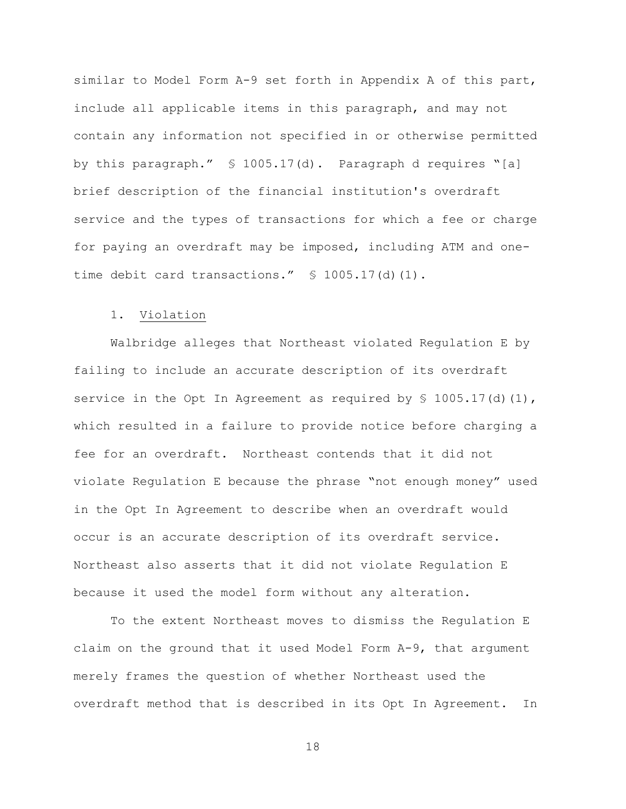similar to Model Form A-9 set forth in Appendix A of this part, include all applicable items in this paragraph, and may not contain any information not specified in or otherwise permitted by this paragraph." § 1005.17(d). Paragraph d requires "[a] brief description of the financial institution's overdraft service and the types of transactions for which a fee or charge for paying an overdraft may be imposed, including ATM and onetime debit card transactions." § 1005.17(d)(1).

# 1. Violation

Walbridge alleges that Northeast violated Regulation E by failing to include an accurate description of its overdraft service in the Opt In Agreement as required by  $\frac{1}{5}$  1005.17(d)(1), which resulted in a failure to provide notice before charging a fee for an overdraft. Northeast contends that it did not violate Regulation E because the phrase "not enough money" used in the Opt In Agreement to describe when an overdraft would occur is an accurate description of its overdraft service. Northeast also asserts that it did not violate Regulation E because it used the model form without any alteration.

To the extent Northeast moves to dismiss the Regulation E claim on the ground that it used Model Form A-9, that argument merely frames the question of whether Northeast used the overdraft method that is described in its Opt In Agreement. In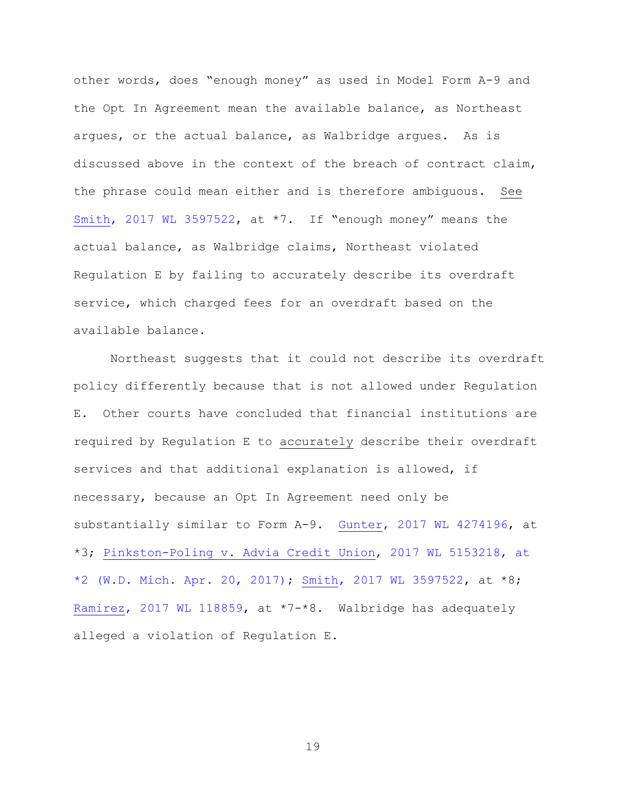other words, does "enough money" as used in Model Form A-9 and the Opt In Agreement mean the available balance, as Northeast argues, or the actual balance, as Walbridge argues. As is discussed above in the context of the breach of contract claim, the phrase could mean either and is therefore ambiguous. See [Smith, 2017 WL 3597522,](https://www.westlaw.com/Document/Ida031050876511e7b7978f65e9bf93b3/View/FullText.html?transitionType=Default&contextData=(sc.Default)&VR=3.0&RS=da3.0) at \*7. If "enough money" means the actual balance, as Walbridge claims, Northeast violated Regulation E by failing to accurately describe its overdraft service, which charged fees for an overdraft based on the available balance.

Northeast suggests that it could not describe its overdraft policy differently because that is not allowed under Regulation E. Other courts have concluded that financial institutions are required by Regulation E to accurately describe their overdraft services and that additional explanation is allowed, if necessary, because an Opt In Agreement need only be substantially similar to Form A-9. [Gunter, 2017 WL 4274196,](https://www.westlaw.com/Document/I3b9a5810a3ad11e7a4449fe394270729/View/FullText.html?transitionType=Default&contextData=(sc.Default)&VR=3.0&RS=da3.0) at \*3; [Pinkston-Poling v. Advia Credit Union, 2017 WL 5153218, at](https://www.westlaw.com/Document/Ie8cb0b80c45311e79c8f8bb0457c507d/View/FullText.html?transitionType=Default&contextData=(sc.Default)&VR=3.0&RS=da3.0&fragmentIdentifier=co_pp_sp_999_2)  [\\*2 \(W.D. Mich. Apr. 20, 2017\);](https://www.westlaw.com/Document/Ie8cb0b80c45311e79c8f8bb0457c507d/View/FullText.html?transitionType=Default&contextData=(sc.Default)&VR=3.0&RS=da3.0&fragmentIdentifier=co_pp_sp_999_2) [Smith, 2017 WL 3597522,](https://www.westlaw.com/Document/Ida031050876511e7b7978f65e9bf93b3/View/FullText.html?transitionType=Default&contextData=(sc.Default)&VR=3.0&RS=da3.0) at \*8; [Ramirez, 2017 WL 118859,](https://www.westlaw.com/Document/I901a1670d96211e6b27be1b44e7e7e5b/View/FullText.html?transitionType=Default&contextData=(sc.Default)&VR=3.0&RS=da3.0) at \*7-\*8. Walbridge has adequately alleged a violation of Regulation E.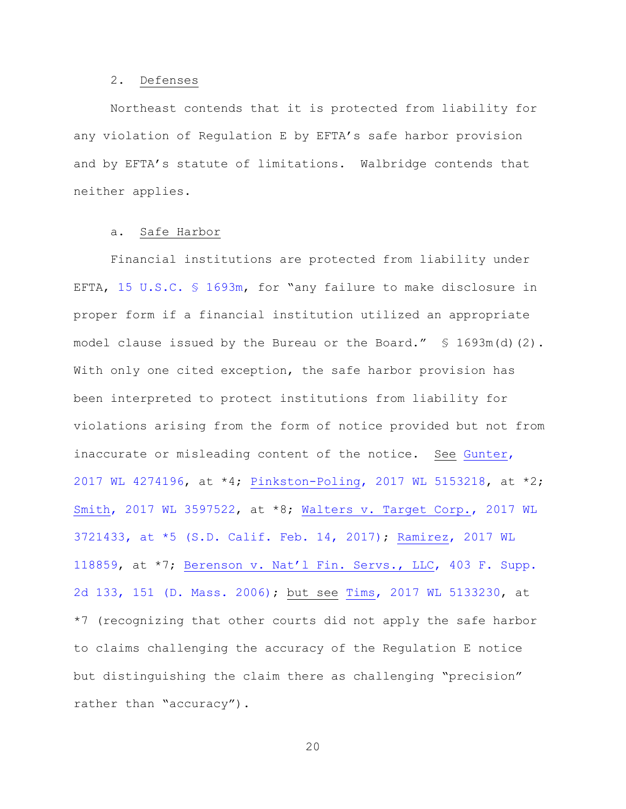#### 2. Defenses

Northeast contends that it is protected from liability for any violation of Regulation E by EFTA's safe harbor provision and by EFTA's statute of limitations. Walbridge contends that neither applies.

# a. Safe Harbor

Financial institutions are protected from liability under EFTA, [15 U.S.C. § 1693m](https://www.westlaw.com/Document/NB8D7EEE03BA411E189859AE7C3EF06D2/View/FullText.html?transitionType=Default&contextData=(sc.Default)&VR=3.0&RS=da3.0), for "any failure to make disclosure in proper form if a financial institution utilized an appropriate model clause issued by the Bureau or the Board."  $\leq 1693m(d)(2)$ . With only one cited exception, the safe harbor provision has been interpreted to protect institutions from liability for violations arising from the form of notice provided but not from inaccurate or misleading content of the notice. See [Gunter,](https://www.westlaw.com/Document/I3b9a5810a3ad11e7a4449fe394270729/View/FullText.html?transitionType=Default&contextData=(sc.Default)&VR=3.0&RS=da3.0)  [2017 WL 4274196,](https://www.westlaw.com/Document/I3b9a5810a3ad11e7a4449fe394270729/View/FullText.html?transitionType=Default&contextData=(sc.Default)&VR=3.0&RS=da3.0) at \*4; [Pinkston-Poling, 2017 WL 5153218,](https://www.westlaw.com/Document/Ie8cb0b80c45311e79c8f8bb0457c507d/View/FullText.html?transitionType=Default&contextData=(sc.Default)&VR=3.0&RS=da3.0) at \*2; [Smith, 2017 WL 3597522,](https://www.westlaw.com/Document/Ida031050876511e7b7978f65e9bf93b3/View/FullText.html?transitionType=Default&contextData=(sc.Default)&VR=3.0&RS=da3.0) at \*8; Walters v. Target Corp., 2017 WL [3721433, at \\*5 \(S.D. Calif. Feb. 14, 2017\);](https://www.westlaw.com/Document/I7b4010e08d9111e7ae06bb6d796f727f/View/FullText.html?transitionType=Default&contextData=(sc.Default)&VR=3.0&RS=da3.0&fragmentIdentifier=co_pp_sp_999_5) [Ramirez, 2017 WL](https://www.westlaw.com/Document/I901a1670d96211e6b27be1b44e7e7e5b/View/FullText.html?transitionType=Default&contextData=(sc.Default)&VR=3.0&RS=da3.0)  [118859,](https://www.westlaw.com/Document/I901a1670d96211e6b27be1b44e7e7e5b/View/FullText.html?transitionType=Default&contextData=(sc.Default)&VR=3.0&RS=da3.0) at \*7; [Berenson v. Nat'l Fin. Servs., LLC](https://www.westlaw.com/Document/Ifad193cb4af611da8cc9b4c14e983401/View/FullText.html?transitionType=Default&contextData=(sc.Default)&VR=3.0&RS=da3.0&fragmentIdentifier=co_pp_sp_4637_151), 403 F. Supp. [2d 133, 151 \(D. Mass. 2006\);](https://www.westlaw.com/Document/Ifad193cb4af611da8cc9b4c14e983401/View/FullText.html?transitionType=Default&contextData=(sc.Default)&VR=3.0&RS=da3.0&fragmentIdentifier=co_pp_sp_4637_151) but see [Tims, 2017 WL 5133230,](https://www.westlaw.com/Document/Ib9f26460c3a511e7bf23e096364180a5/View/FullText.html?transitionType=Default&contextData=(sc.Default)&VR=3.0&RS=da3.0) at \*7 (recognizing that other courts did not apply the safe harbor to claims challenging the accuracy of the Regulation E notice but distinguishing the claim there as challenging "precision" rather than "accuracy").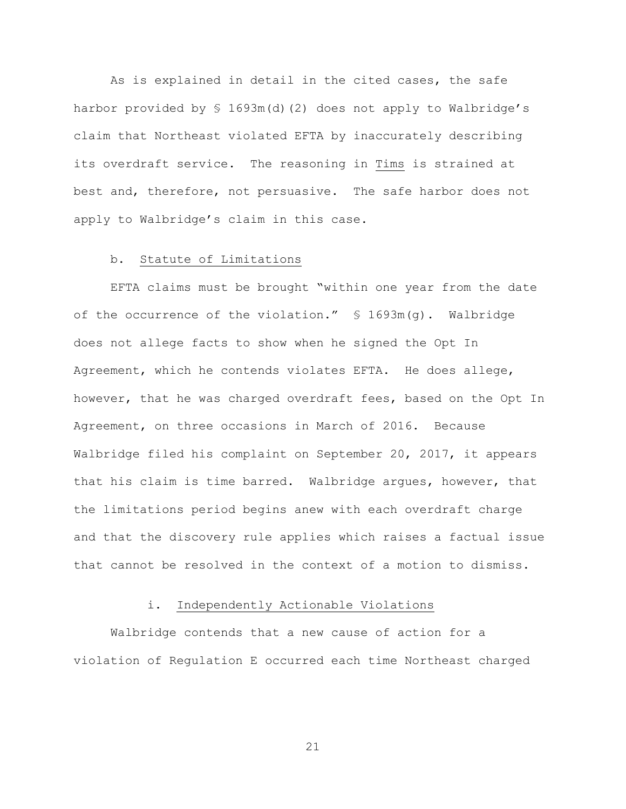As is explained in detail in the cited cases, the safe harbor provided by § 1693m(d)(2) does not apply to Walbridge's claim that Northeast violated EFTA by inaccurately describing its overdraft service. The reasoning in Tims is strained at best and, therefore, not persuasive. The safe harbor does not apply to Walbridge's claim in this case.

#### b. Statute of Limitations

EFTA claims must be brought "within one year from the date of the occurrence of the violation." § 1693m(g). Walbridge does not allege facts to show when he signed the Opt In Agreement, which he contends violates EFTA. He does allege, however, that he was charged overdraft fees, based on the Opt In Agreement, on three occasions in March of 2016. Because Walbridge filed his complaint on September 20, 2017, it appears that his claim is time barred. Walbridge argues, however, that the limitations period begins anew with each overdraft charge and that the discovery rule applies which raises a factual issue that cannot be resolved in the context of a motion to dismiss.

### i. Independently Actionable Violations

Walbridge contends that a new cause of action for a violation of Regulation E occurred each time Northeast charged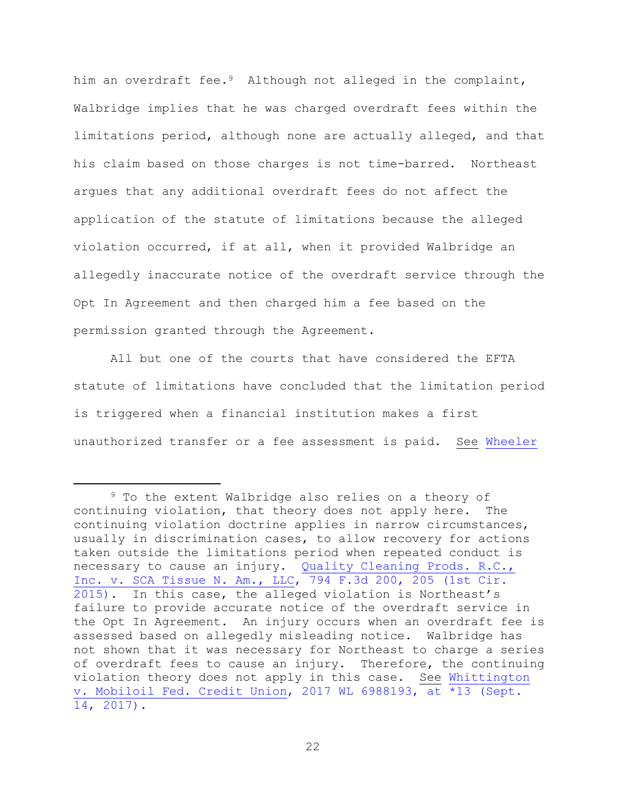him an overdraft fee.<sup>9</sup> Although not alleged in the complaint, Walbridge implies that he was charged overdraft fees within the limitations period, although none are actually alleged, and that his claim based on those charges is not time-barred. Northeast argues that any additional overdraft fees do not affect the application of the statute of limitations because the alleged violation occurred, if at all, when it provided Walbridge an allegedly inaccurate notice of the overdraft service through the Opt In Agreement and then charged him a fee based on the permission granted through the Agreement.

All but one of the courts that have considered the EFTA statute of limitations have concluded that the limitation period is triggered when a financial institution makes a first unauthorized transfer or a fee assessment is paid. See [Wheeler](https://www.westlaw.com/Document/I1f891b60fc2811e7a9cdefc89ba18cd7/View/FullText.html?transitionType=Default&contextData=(sc.Default)&VR=3.0&RS=da3.0&fragmentIdentifier=co_pp_sp_999_1) 

i<br>L

<sup>&</sup>lt;sup>9</sup> To the extent Walbridge also relies on a theory of continuing violation, that theory does not apply here. The continuing violation doctrine applies in narrow circumstances, usually in discrimination cases, to allow recovery for actions taken outside the limitations period when repeated conduct is necessary to cause an injury. Quality Cleaning Prods. R.C., [Inc. v. SCA Tissue N. Am., LLC, 794 F.3d 200, 205 \(1st Cir.](https://www.westlaw.com/Document/I93ebe7dd2fc211e5b86bd602cb8781fa/View/FullText.html?transitionType=Default&contextData=(sc.Default)&VR=3.0&RS=da3.0&fragmentIdentifier=co_pp_sp_506_205)  [2015\).](https://www.westlaw.com/Document/I93ebe7dd2fc211e5b86bd602cb8781fa/View/FullText.html?transitionType=Default&contextData=(sc.Default)&VR=3.0&RS=da3.0&fragmentIdentifier=co_pp_sp_506_205) In this case, the alleged violation is Northeast's failure to provide accurate notice of the overdraft service in the Opt In Agreement. An injury occurs when an overdraft fee is assessed based on allegedly misleading notice. Walbridge has not shown that it was necessary for Northeast to charge a series of overdraft fees to cause an injury. Therefore, the continuing violation theory does not apply in this case. See [Whittington](https://www.westlaw.com/Document/I1c225100fce911e7b565bb5dd3180177/View/FullText.html?transitionType=Default&contextData=(sc.Default)&VR=3.0&RS=da3.0&fragmentIdentifier=co_pp_sp_999_13)  [v. Mobiloil Fed. Credit Union, 2017 WL 6988193, at \\*13 \(Sept.](https://www.westlaw.com/Document/I1c225100fce911e7b565bb5dd3180177/View/FullText.html?transitionType=Default&contextData=(sc.Default)&VR=3.0&RS=da3.0&fragmentIdentifier=co_pp_sp_999_13)  [14, 2017\).](https://www.westlaw.com/Document/I1c225100fce911e7b565bb5dd3180177/View/FullText.html?transitionType=Default&contextData=(sc.Default)&VR=3.0&RS=da3.0&fragmentIdentifier=co_pp_sp_999_13)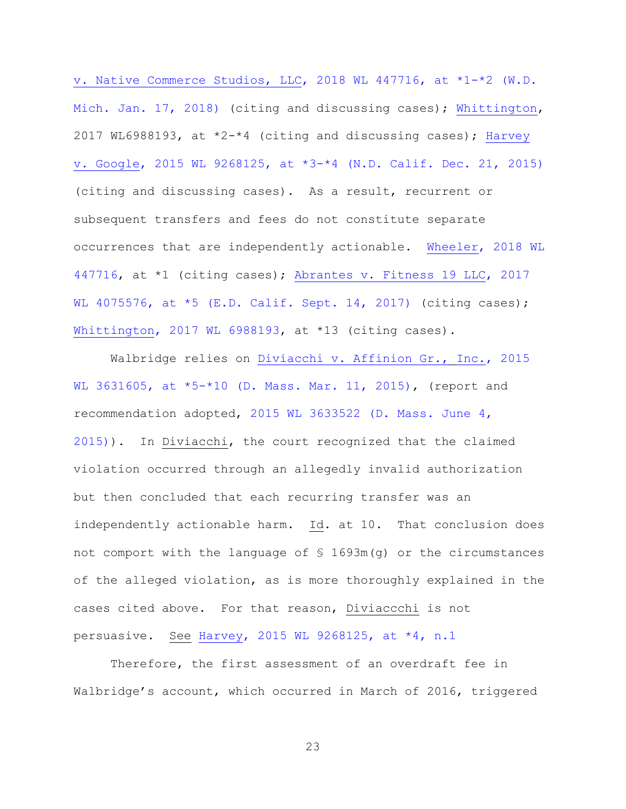[v. Native Commerce Studios, LLC, 2018 WL 447716, at \\*1-\\*2 \(W.D.](https://www.westlaw.com/Document/I1f891b60fc2811e7a9cdefc89ba18cd7/View/FullText.html?transitionType=Default&contextData=(sc.Default)&VR=3.0&RS=da3.0&fragmentIdentifier=co_pp_sp_999_1)  [Mich. Jan. 17, 2018\)](https://www.westlaw.com/Document/I1f891b60fc2811e7a9cdefc89ba18cd7/View/FullText.html?transitionType=Default&contextData=(sc.Default)&VR=3.0&RS=da3.0&fragmentIdentifier=co_pp_sp_999_1) (citing and discussing cases); [Whittington,](https://www.westlaw.com/Document/I1c225100fce911e7b565bb5dd3180177/View/FullText.html?transitionType=Default&contextData=(sc.Default)&VR=3.0&RS=da3.0) 2017 WL6988193, at  $*2-*4$  (citing and discussing cases); Harvey [v. Google, 2015 WL 9268125, at \\*3-\\*4 \(N.D. Calif. Dec. 21, 2015\)](https://www.westlaw.com/Document/I6260f5c0a85b11e5be74e186f6bc2536/View/FullText.html?transitionType=Default&contextData=(sc.Default)&VR=3.0&RS=da3.0&fragmentIdentifier=co_pp_sp_999_3) (citing and discussing cases). As a result, recurrent or subsequent transfers and fees do not constitute separate occurrences that are independently actionable. [Wheeler, 2018 WL](https://www.westlaw.com/Document/I1f891b60fc2811e7a9cdefc89ba18cd7/View/FullText.html?transitionType=Default&contextData=(sc.Default)&VR=3.0&RS=da3.0)  [447716,](https://www.westlaw.com/Document/I1f891b60fc2811e7a9cdefc89ba18cd7/View/FullText.html?transitionType=Default&contextData=(sc.Default)&VR=3.0&RS=da3.0) at \*1 (citing cases); [Abrantes v. Fitness 19 LLC, 2017](https://www.westlaw.com/Document/I11c044209a0011e7ae06bb6d796f727f/View/FullText.html?transitionType=Default&contextData=(sc.Default)&VR=3.0&RS=da3.0&fragmentIdentifier=co_pp_sp_999_5)  [WL 4075576, at \\*5 \(E.D. Calif. Sept. 14, 2017\)](https://www.westlaw.com/Document/I11c044209a0011e7ae06bb6d796f727f/View/FullText.html?transitionType=Default&contextData=(sc.Default)&VR=3.0&RS=da3.0&fragmentIdentifier=co_pp_sp_999_5) (citing cases); [Whittington, 2017 WL 6988193,](https://www.westlaw.com/Document/I1c225100fce911e7b565bb5dd3180177/View/FullText.html?transitionType=Default&contextData=(sc.Default)&VR=3.0&RS=da3.0) at \*13 (citing cases).

Walbridge relies on [Diviacchi v. Affinion Gr.,](https://www.westlaw.com/Document/Ia1fc138d10cd11e5b4bafa136b480ad2/View/FullText.html?transitionType=Default&contextData=(sc.Default)&VR=3.0&RS=da3.0&fragmentIdentifier=co_pp_sp_999_5) [Inc., 2015](https://www.westlaw.com/Document/Ia1fc138d10cd11e5b4bafa136b480ad2/View/FullText.html?transitionType=Default&contextData=(sc.Default)&VR=3.0&RS=da3.0&fragmentIdentifier=co_pp_sp_999_5)  [WL 3631605, at \\*5-\\*10 \(D. Mass. Mar. 11, 2015\),](https://www.westlaw.com/Document/Ia1fc138d10cd11e5b4bafa136b480ad2/View/FullText.html?transitionType=Default&contextData=(sc.Default)&VR=3.0&RS=da3.0&fragmentIdentifier=co_pp_sp_999_5) (report and recommendation adopted, [2015 WL 3633522 \(D. Mass. June 4,](https://www.westlaw.com/Document/Ia1fbc65f10cd11e5b4bafa136b480ad2/View/FullText.html?transitionType=Default&contextData=(sc.Default)&VR=3.0&RS=da3.0)  [2015\)\)](https://www.westlaw.com/Document/Ia1fbc65f10cd11e5b4bafa136b480ad2/View/FullText.html?transitionType=Default&contextData=(sc.Default)&VR=3.0&RS=da3.0). In Diviacchi, the court recognized that the claimed violation occurred through an allegedly invalid authorization but then concluded that each recurring transfer was an independently actionable harm. Id. at 10. That conclusion does not comport with the language of § 1693m(g) or the circumstances of the alleged violation, as is more thoroughly explained in the cases cited above. For that reason, Diviaccchi is not persuasive. See [Harvey, 2015 WL 9268125, at \\*4, n.1](https://www.westlaw.com/Document/I6260f5c0a85b11e5be74e186f6bc2536/View/FullText.html?transitionType=Default&contextData=(sc.Default)&VR=3.0&RS=da3.0&fragmentIdentifier=co_pp_sp_999_4)

Therefore, the first assessment of an overdraft fee in Walbridge's account, which occurred in March of 2016, triggered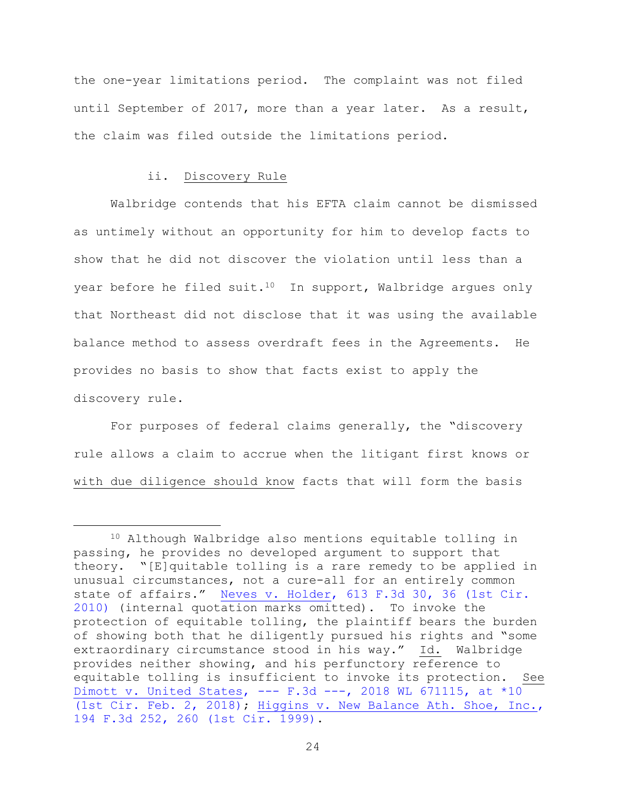the one-year limitations period. The complaint was not filed until September of 2017, more than a year later. As a result, the claim was filed outside the limitations period.

### ii. Discovery Rule

L,

Walbridge contends that his EFTA claim cannot be dismissed as untimely without an opportunity for him to develop facts to show that he did not discover the violation until less than a year before he filed suit.<sup>10</sup> In support, Walbridge argues only that Northeast did not disclose that it was using the available balance method to assess overdraft fees in the Agreements. He provides no basis to show that facts exist to apply the discovery rule.

For purposes of federal claims generally, the "discovery rule allows a claim to accrue when the litigant first knows or with due diligence should know facts that will form the basis

<sup>10</sup> Although Walbridge also mentions equitable tolling in passing, he provides no developed argument to support that theory. "[E]quitable tolling is a rare remedy to be applied in unusual circumstances, not a cure-all for an entirely common state of affairs." [Neves v. Holder, 613 F.3d 30, 36 \(1st Cir.](https://www.westlaw.com/Document/I1475c45994e811dfbd1deb0d18fe7234/View/FullText.html?transitionType=Default&contextData=(sc.Default)&VR=3.0&RS=da3.0&fragmentIdentifier=co_pp_sp_506_36)  [2010\)](https://www.westlaw.com/Document/I1475c45994e811dfbd1deb0d18fe7234/View/FullText.html?transitionType=Default&contextData=(sc.Default)&VR=3.0&RS=da3.0&fragmentIdentifier=co_pp_sp_506_36) (internal quotation marks omitted). To invoke the protection of equitable tolling, the plaintiff bears the burden of showing both that he diligently pursued his rights and "some extraordinary circumstance stood in his way." Id. Walbridge provides neither showing, and his perfunctory reference to equitable tolling is insufficient to invoke its protection. See [Dimott v. United States, ---](https://www.westlaw.com/Document/I8367e8d0086e11e890b3a4cf54beb9bd/View/FullText.html?transitionType=Default&contextData=(sc.Default)&VR=3.0&RS=da3.0&fragmentIdentifier=co_pp_sp_999_10) F.3d ---, 2018 WL 671115, at \*10 [\(1st Cir. Feb. 2, 2018\);](https://www.westlaw.com/Document/I8367e8d0086e11e890b3a4cf54beb9bd/View/FullText.html?transitionType=Default&contextData=(sc.Default)&VR=3.0&RS=da3.0&fragmentIdentifier=co_pp_sp_999_10) [Higgins v. New Balance Ath. Shoe, Inc.,](https://www.westlaw.com/Document/I6885e5d894b411d993e6d35cc61aab4a/View/FullText.html?transitionType=Default&contextData=(sc.Default)&VR=3.0&RS=da3.0&fragmentIdentifier=co_pp_sp_506_260)  [194 F.3d 252, 260 \(1st Cir. 1999\).](https://www.westlaw.com/Document/I6885e5d894b411d993e6d35cc61aab4a/View/FullText.html?transitionType=Default&contextData=(sc.Default)&VR=3.0&RS=da3.0&fragmentIdentifier=co_pp_sp_506_260)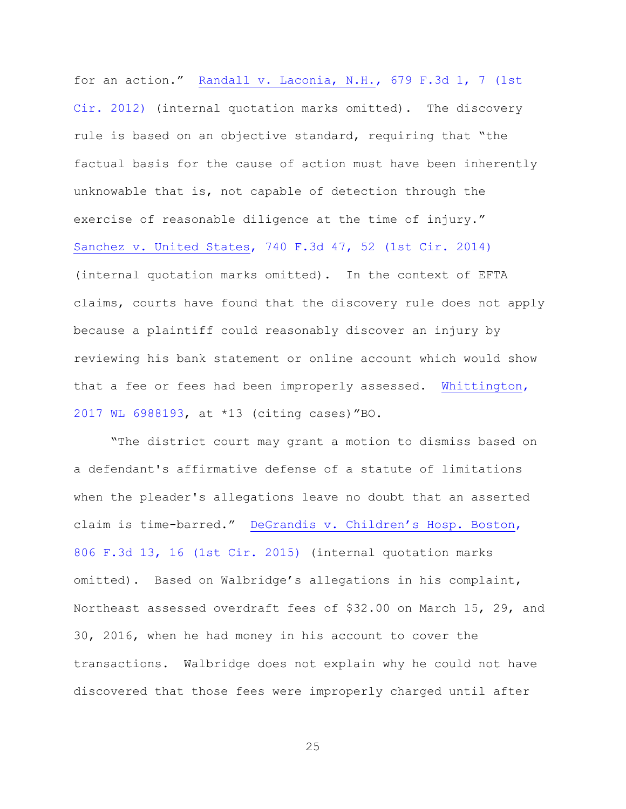for an action." [Randall v. Laconia, N.H., 679 F.3d 1, 7 \(1st](https://www.westlaw.com/Document/Ib98ebbb4992e11e191598982704508d1/View/FullText.html?transitionType=Default&contextData=(sc.Default)&VR=3.0&RS=da3.0&fragmentIdentifier=co_pp_sp_506_7)  [Cir. 2012\)](https://www.westlaw.com/Document/Ib98ebbb4992e11e191598982704508d1/View/FullText.html?transitionType=Default&contextData=(sc.Default)&VR=3.0&RS=da3.0&fragmentIdentifier=co_pp_sp_506_7) (internal quotation marks omitted). The discovery rule is based on an objective standard, requiring that "the factual basis for the cause of action must have been inherently unknowable that is, not capable of detection through the exercise of reasonable diligence at the time of injury." [Sanchez v. United States, 740 F.3d 47, 52 \(1st Cir. 2014\)](https://www.westlaw.com/Document/I0b18e0f27d1211e381b8b0e9e015e69e/View/FullText.html?transitionType=Default&contextData=(sc.Default)&VR=3.0&RS=da3.0&fragmentIdentifier=co_pp_sp_506_52) (internal quotation marks omitted). In the context of EFTA claims, courts have found that the discovery rule does not apply because a plaintiff could reasonably discover an injury by reviewing his bank statement or online account which would show that a fee or fees had been improperly assessed. [Whittington,](https://www.westlaw.com/Document/I1c225100fce911e7b565bb5dd3180177/View/FullText.html?transitionType=Default&contextData=(sc.Default)&VR=3.0&RS=da3.0)  [2017 WL 6988193,](https://www.westlaw.com/Document/I1c225100fce911e7b565bb5dd3180177/View/FullText.html?transitionType=Default&contextData=(sc.Default)&VR=3.0&RS=da3.0) at \*13 (citing cases)"BO.

"The district court may grant a motion to dismiss based on a defendant's affirmative defense of a statute of limitations when the pleader's allegations leave no doubt that an asserted claim is time-barred." [DeGrandis v. Children's Hosp. Boston](https://www.westlaw.com/Document/I67cece878e9711e5a807ad48145ed9f1/View/FullText.html?transitionType=Default&contextData=(sc.Default)&VR=3.0&RS=da3.0&fragmentIdentifier=co_pp_sp_506_16), [806 F.3d 13, 16 \(1st Cir. 2015\)](https://www.westlaw.com/Document/I67cece878e9711e5a807ad48145ed9f1/View/FullText.html?transitionType=Default&contextData=(sc.Default)&VR=3.0&RS=da3.0&fragmentIdentifier=co_pp_sp_506_16) (internal quotation marks omitted). Based on Walbridge's allegations in his complaint, Northeast assessed overdraft fees of \$32.00 on March 15, 29, and 30, 2016, when he had money in his account to cover the transactions. Walbridge does not explain why he could not have discovered that those fees were improperly charged until after